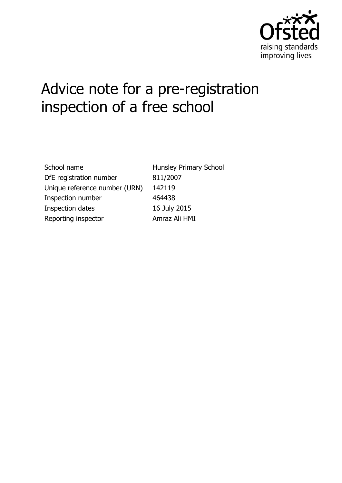

# Advice note for a pre-registration inspection of a free school

School name Hunsley Primary School DfE registration number 811/2007 Unique reference number (URN) 142119 Inspection number 464438 Inspection dates 16 July 2015 Reporting inspector **Amraz Ali HMI**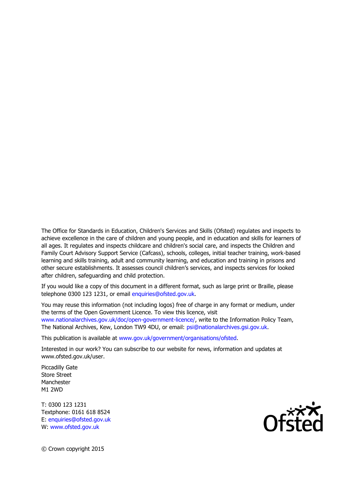The Office for Standards in Education, Children's Services and Skills (Ofsted) regulates and inspects to achieve excellence in the care of children and young people, and in education and skills for learners of all ages. It regulates and inspects childcare and children's social care, and inspects the Children and Family Court Advisory Support Service (Cafcass), schools, colleges, initial teacher training, work-based learning and skills training, adult and community learning, and education and training in prisons and other secure establishments. It assesses council children's services, and inspects services for looked after children, safeguarding and child protection.

If you would like a copy of this document in a different format, such as large print or Braille, please telephone 0300 123 1231, or email enquiries@ofsted.gov.uk.

You may reuse this information (not including logos) free of charge in any format or medium, under the terms of the Open Government Licence. To view this licence, visit [www.nationalarchives.gov.uk/doc/open-government-licence/,](http://www.nationalarchives.gov.uk/doc/open-government-licence/) write to the Information Policy Team, The National Archives, Kew, London TW9 4DU, or email: [psi@nationalarchives.gsi.gov.uk.](mailto:psi@nationalarchives.gsi.gov.uk)

This publication is available at [www.gov.uk/government/organisations/ofsted.](http://www.gov.uk/government/organisations/ofsted)

Interested in our work? You can subscribe to our website for news, information and updates at www.ofsted.gov.uk/user.

Piccadilly Gate Store Street Manchester M1 2WD

T: 0300 123 1231 Textphone: 0161 618 8524 E: enquiries@ofsted.gov.uk W: [www.ofsted.gov.uk](http://www.ofsted.gov.uk/)

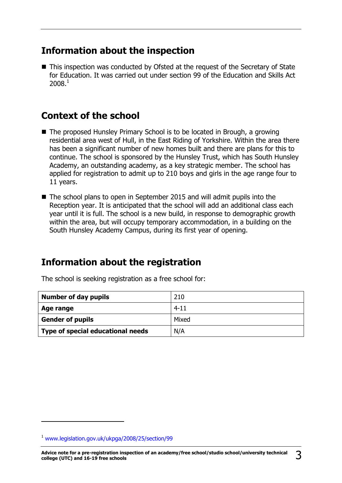## **Information about the inspection**

■ This inspection was conducted by Ofsted at the request of the Secretary of State for Education. It was carried out under section 99 of the Education and Skills Act 2008.<sup>1</sup>

## **Context of the school**

- The proposed Hunsley Primary School is to be located in Brough, a growing residential area west of Hull, in the East Riding of Yorkshire. Within the area there has been a significant number of new homes built and there are plans for this to continue. The school is sponsored by the Hunsley Trust, which has South Hunsley Academy, an outstanding academy, as a key strategic member. The school has applied for registration to admit up to 210 boys and girls in the age range four to 11 years.
- The school plans to open in September 2015 and will admit pupils into the Reception year. It is anticipated that the school will add an additional class each year until it is full. The school is a new build, in response to demographic growth within the area, but will occupy temporary accommodation, in a building on the South Hunsley Academy Campus, during its first year of opening.

## **Information about the registration**

| <b>Number of day pupils</b> | 210      |
|-----------------------------|----------|
| Age range                   | $4 - 11$ |
| <b>Gender of pupils</b>     | Mixed    |
|                             |          |

The school is seeking registration as a free school for:

**Type of special educational needs**  $\vert N/A \rangle$ 

-

<sup>1</sup> [www.legislation.gov.uk/ukpga/2008/25/section/99](http://www.legislation.gov.uk/ukpga/2008/25/section/99)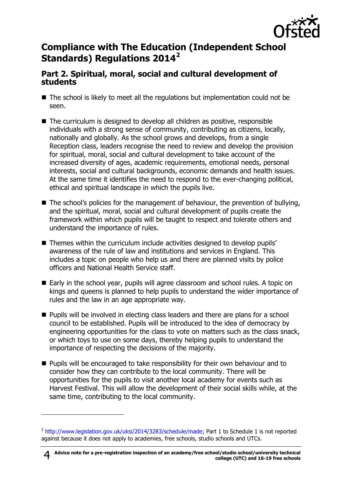

## **Compliance with The Education (Independent School Standards) Regulations 2014<sup>2</sup>**

#### **Part 2. Spiritual, moral, social and cultural development of students**

- The school is likely to meet all the regulations but implementation could not be seen.
- The curriculum is designed to develop all children as positive, responsible individuals with a strong sense of community, contributing as citizens, locally, nationally and globally. As the school grows and develops, from a single Reception class, leaders recognise the need to review and develop the provision for spiritual, moral, social and cultural development to take account of the increased diversity of ages, academic requirements, emotional needs, personal interests, social and cultural backgrounds, economic demands and health issues. At the same time it identifies the need to respond to the ever-changing political, ethical and spiritual landscape in which the pupils live.
- $\blacksquare$  The school's policies for the management of behaviour, the prevention of bullying, and the spiritual, moral, social and cultural development of pupils create the framework within which pupils will be taught to respect and tolerate others and understand the importance of rules.
- Themes within the curriculum include activities designed to develop pupils' awareness of the rule of law and institutions and services in England. This includes a topic on people who help us and there are planned visits by police officers and National Health Service staff.
- Early in the school year, pupils will agree classroom and school rules. A topic on kings and queens is planned to help pupils to understand the wider importance of rules and the law in an age appropriate way.
- Pupils will be involved in electing class leaders and there are plans for a school council to be established. Pupils will be introduced to the idea of democracy by engineering opportunities for the class to vote on matters such as the class snack, or which toys to use on some days, thereby helping pupils to understand the importance of respecting the decisions of the majority.
- **Pupils will be encouraged to take responsibility for their own behaviour and to** consider how they can contribute to the local community. There will be opportunities for the pupils to visit another local academy for events such as Harvest Festival. This will allow the development of their social skills while, at the same time, contributing to the local community.

-

<sup>&</sup>lt;sup>2</sup> [http://www.legislation.gov.uk/uksi/2014/3283/schedule/made;](http://www.legislation.gov.uk/uksi/2014/3283/schedule/made) Part 1 to Schedule 1 is not reported against because it does not apply to academies, free schools, studio schools and UTCs.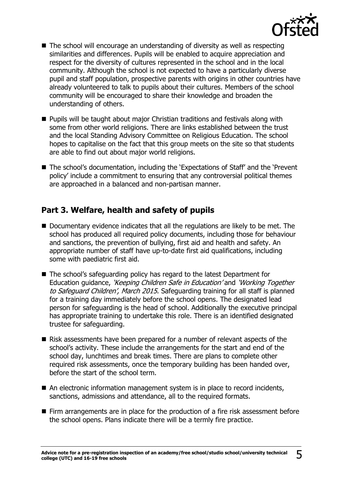

- The school will encourage an understanding of diversity as well as respecting similarities and differences. Pupils will be enabled to acquire appreciation and respect for the diversity of cultures represented in the school and in the local community. Although the school is not expected to have a particularly diverse pupil and staff population, prospective parents with origins in other countries have already volunteered to talk to pupils about their cultures. Members of the school community will be encouraged to share their knowledge and broaden the understanding of others.
- **Pupils will be taught about major Christian traditions and festivals along with** some from other world religions. There are links established between the trust and the local Standing Advisory Committee on Religious Education. The school hopes to capitalise on the fact that this group meets on the site so that students are able to find out about major world religions.
- The school's documentation, including the 'Expectations of Staff' and the 'Prevent policy' include a commitment to ensuring that any controversial political themes are approached in a balanced and non-partisan manner.

#### **Part 3. Welfare, health and safety of pupils**

- Documentary evidence indicates that all the regulations are likely to be met. The school has produced all required policy documents, including those for behaviour and sanctions, the prevention of bullying, first aid and health and safety. An appropriate number of staff have up-to-date first aid qualifications, including some with paediatric first aid.
- The school's safeguarding policy has regard to the latest Department for Education guidance, 'Keeping Children Safe in Education' and 'Working Together to Safeguard Children', March 2015. Safeguarding training for all staff is planned for a training day immediately before the school opens. The designated lead person for safeguarding is the head of school. Additionally the executive principal has appropriate training to undertake this role. There is an identified designated trustee for safeguarding.
- Risk assessments have been prepared for a number of relevant aspects of the school's activity. These include the arrangements for the start and end of the school day, lunchtimes and break times. There are plans to complete other required risk assessments, once the temporary building has been handed over, before the start of the school term.
- An electronic information management system is in place to record incidents, sanctions, admissions and attendance, all to the required formats.
- Firm arrangements are in place for the production of a fire risk assessment before the school opens. Plans indicate there will be a termly fire practice.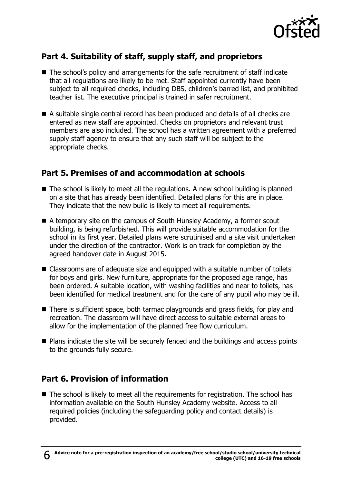

## **Part 4. Suitability of staff, supply staff, and proprietors**

- The school's policy and arrangements for the safe recruitment of staff indicate that all regulations are likely to be met. Staff appointed currently have been subject to all required checks, including DBS, children's barred list, and prohibited teacher list. The executive principal is trained in safer recruitment.
- A suitable single central record has been produced and details of all checks are entered as new staff are appointed. Checks on proprietors and relevant trust members are also included. The school has a written agreement with a preferred supply staff agency to ensure that any such staff will be subject to the appropriate checks.

#### **Part 5. Premises of and accommodation at schools**

- The school is likely to meet all the regulations. A new school building is planned on a site that has already been identified. Detailed plans for this are in place. They indicate that the new build is likely to meet all requirements.
- A temporary site on the campus of South Hunsley Academy, a former scout building, is being refurbished. This will provide suitable accommodation for the school in its first year. Detailed plans were scrutinised and a site visit undertaken under the direction of the contractor. Work is on track for completion by the agreed handover date in August 2015.
- Classrooms are of adequate size and equipped with a suitable number of toilets for boys and girls. New furniture, appropriate for the proposed age range, has been ordered. A suitable location, with washing facilities and near to toilets, has been identified for medical treatment and for the care of any pupil who may be ill.
- There is sufficient space, both tarmac playgrounds and grass fields, for play and recreation. The classroom will have direct access to suitable external areas to allow for the implementation of the planned free flow curriculum.
- Plans indicate the site will be securely fenced and the buildings and access points to the grounds fully secure.

#### **Part 6. Provision of information**

■ The school is likely to meet all the requirements for registration. The school has information available on the South Hunsley Academy website. Access to all required policies (including the safeguarding policy and contact details) is provided.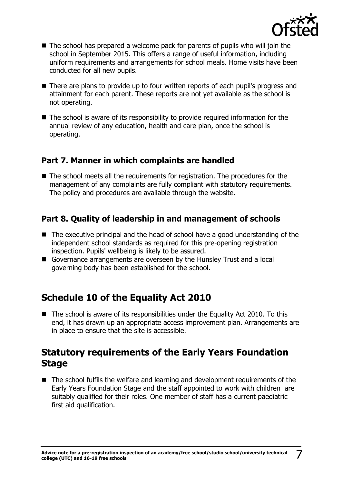

- The school has prepared a welcome pack for parents of pupils who will join the school in September 2015. This offers a range of useful information, including uniform requirements and arrangements for school meals. Home visits have been conducted for all new pupils.
- There are plans to provide up to four written reports of each pupil's progress and attainment for each parent. These reports are not yet available as the school is not operating.
- The school is aware of its responsibility to provide required information for the annual review of any education, health and care plan, once the school is operating.

#### **Part 7. Manner in which complaints are handled**

■ The school meets all the requirements for registration. The procedures for the management of any complaints are fully compliant with statutory requirements. The policy and procedures are available through the website.

### **Part 8. Quality of leadership in and management of schools**

- The executive principal and the head of school have a good understanding of the independent school standards as required for this pre-opening registration inspection. Pupils' wellbeing is likely to be assured.
- Governance arrangements are overseen by the Hunsley Trust and a local governing body has been established for the school.

# **Schedule 10 of the Equality Act 2010**

 $\blacksquare$  The school is aware of its responsibilities under the Equality Act 2010. To this end, it has drawn up an appropriate access improvement plan. Arrangements are in place to ensure that the site is accessible.

## **Statutory requirements of the Early Years Foundation Stage**

■ The school fulfils the welfare and learning and development requirements of the Early Years Foundation Stage and the staff appointed to work with children are suitably qualified for their roles. One member of staff has a current paediatric first aid qualification.